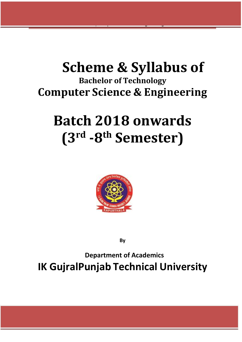# **Scheme & Syllabus of Bachelor of Technology Computer Science & Engineering**

**B. Tech, Computer Science & Engineering**

# **Batch 2018 onwards (3 rd -8 th Semester)**



**By**

**Department of Academics IK GujralPunjab Technical University**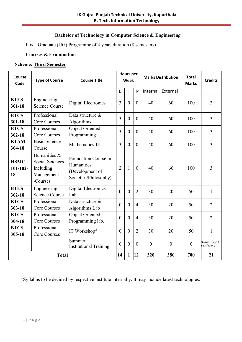# **Bachelor of Technology in Computer Science & Engineering**

It is a Graduate (UG) Programme of 4 years duration (8 semesters)

#### **Courses & Examination**

#### **Scheme: Third Semester**

| <b>Course</b><br>Code         | <b>Type of Course</b>                                                         | <b>Course Title</b>                                                            |                | <b>Hours per</b><br>Week |                  |                | <b>Marks Distribution</b> | <b>Total</b><br><b>Marks</b> | <b>Credits</b>                  |
|-------------------------------|-------------------------------------------------------------------------------|--------------------------------------------------------------------------------|----------------|--------------------------|------------------|----------------|---------------------------|------------------------------|---------------------------------|
|                               |                                                                               |                                                                                | L              | Т                        | $\mathsf{P}$     | Internal       | External                  |                              |                                 |
| <b>BTES</b><br>301-18         | Engineering<br><b>Science Course</b>                                          | <b>Digital Electronics</b>                                                     | $\overline{3}$ | $\theta$                 | $\boldsymbol{0}$ | 40             | 60                        | 100                          | $\overline{3}$                  |
| <b>BTCS</b><br>301-18         | Professional<br><b>Core Courses</b>                                           | Data structure &<br>Algorithms                                                 | 3              | $\Omega$                 | $\mathbf{0}$     | 40             | 60                        | 100                          | $\overline{3}$                  |
| <b>BTCS</b><br>302-18         | Professional<br><b>Core Courses</b>                                           | <b>Object Oriented</b><br>Programming                                          | 3              | $\theta$                 | $\mathbf{0}$     | 40             | 60                        | 100                          | $\overline{3}$                  |
| <b>BTAM</b><br>304-18         | <b>Basic Science</b><br>Course                                                | Mathematics-III                                                                | $\overline{3}$ | $\overline{0}$           | $\mathbf{0}$     | 40             | 60                        | 100                          | 3                               |
| <b>HSMC</b><br>101/102-<br>18 | Humanities &<br>Social Sciences<br>Including<br>Management<br><b>\Courses</b> | Foundation Course in<br>Humanities<br>(Development of<br>Societies/Philosophy) | $\overline{2}$ | 1                        | $\overline{0}$   | 40             | 60                        | 100                          | $\overline{3}$                  |
| <b>BTES</b><br>302-18         | Engineering<br><b>Science Course</b>                                          | <b>Digital Electronics</b><br>Lab                                              | $\overline{0}$ | $\mathbf{0}$             | $\overline{2}$   | 30             | 20                        | 50                           | $\mathbf{1}$                    |
| <b>BTCS</b><br>303-18         | Professional<br><b>Core Courses</b>                                           | Data structure &<br>Algorithms Lab                                             | $\overline{0}$ | $\theta$                 | $\overline{4}$   | 30             | 20                        | 50                           | $\overline{2}$                  |
| <b>BTCS</b><br>304-18         | Professional<br><b>Core Courses</b>                                           | <b>Object Oriented</b><br>Programming lab.                                     | $\overline{0}$ | $\Omega$                 | $\overline{4}$   | 30             | 20                        | 50                           | $\overline{2}$                  |
| <b>BTCS</b><br>305-18         | Professional<br><b>Core Courses</b>                                           | IT Workshop*                                                                   | $\overline{0}$ | $\overline{0}$           | $\overline{2}$   | 30             | 20                        | 50                           | $\mathbf{1}$                    |
|                               |                                                                               | Summer<br><b>Institutional Training</b>                                        | $\theta$       | $\overline{0}$           | $\mathbf{0}$     | $\overline{0}$ | $\overline{0}$            | $\boldsymbol{0}$             | Satisfactory/Un<br>satisfactory |
|                               | <b>Total</b>                                                                  |                                                                                | 14             | 1                        | 12               | 320            | 380                       | 700                          | 21                              |

\*Syllabus to be decided by respective institute internally. It may include latest technologies.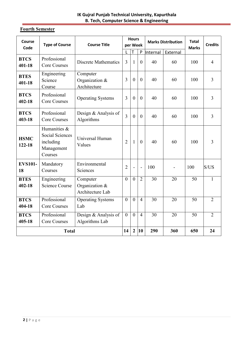# **Fourth Semester**

| Course<br>Code        | <b>Type of Course</b>                                                        | <b>Course Title</b>                            |                | <b>Hours</b><br>per Week |                |                 | <b>Marks Distribution</b> | <b>Total</b><br><b>Marks</b> | <b>Credits</b> |
|-----------------------|------------------------------------------------------------------------------|------------------------------------------------|----------------|--------------------------|----------------|-----------------|---------------------------|------------------------------|----------------|
|                       |                                                                              |                                                | L              | Τ                        | P              | Internal        | External                  |                              |                |
| <b>BTCS</b><br>401-18 | Professional<br><b>Core Courses</b>                                          | <b>Discrete Mathematics</b>                    | $\overline{3}$ | $\mathbf{1}$             | $\overline{0}$ | 40              | 60                        | 100                          | $\overline{4}$ |
| <b>BTES</b><br>401-18 | Engineering<br>Science<br>Course                                             | Computer<br>Organization &<br>Architecture     | $\overline{3}$ | $\mathbf{0}$             | $\overline{0}$ | 40              | 60                        | 100                          | $\overline{3}$ |
| <b>BTCS</b><br>402-18 | Professional<br><b>Core Courses</b>                                          | <b>Operating Systems</b>                       | $\overline{3}$ | $\mathbf{0}$             | $\overline{0}$ | 40              | 60                        | 100                          | $\overline{3}$ |
| <b>BTCS</b><br>403-18 | Professional<br><b>Core Courses</b>                                          | Design & Analysis of<br>Algorithms             | $\overline{3}$ | $\overline{0}$           | $\theta$       | 40              | 60                        | 100                          | $\overline{3}$ |
| <b>HSMC</b><br>122-18 | Humanities &<br><b>Social Sciences</b><br>including<br>Management<br>Courses | Universal Human<br>Values                      | $\overline{2}$ | $\mathbf{1}$             | $\overline{0}$ | 40              | 60                        | 100                          | 3              |
| <b>EVS101-</b><br>18  | Mandatory<br>Courses                                                         | Environmental<br>Sciences                      | $\overline{2}$ | $\overline{a}$           | $\blacksquare$ | 100             | $\blacksquare$            | 100                          | S/US           |
| <b>BTES</b><br>402-18 | Engineering<br><b>Science Course</b>                                         | Computer<br>Organization &<br>Architecture Lab | $\overline{0}$ | $\overline{0}$           | $\overline{2}$ | 30              | 20                        | 50                           | $\mathbf{1}$   |
| <b>BTCS</b><br>404-18 | Professional<br><b>Core Courses</b>                                          | <b>Operating Systems</b><br>Lab                | $\theta$       | $\overline{0}$           | $\overline{4}$ | 30              | 20                        | 50                           | $\overline{2}$ |
| <b>BTCS</b><br>405-18 | Professional<br><b>Core Courses</b>                                          | Design & Analysis of<br>Algorithms Lab         | $\overline{0}$ | $\overline{0}$           | $\overline{4}$ | $\overline{30}$ | 20                        | 50                           | $\overline{2}$ |
|                       | <b>Total</b>                                                                 |                                                | 14             | $\overline{2}$           | 10             | 290             | 360                       | 650                          | 24             |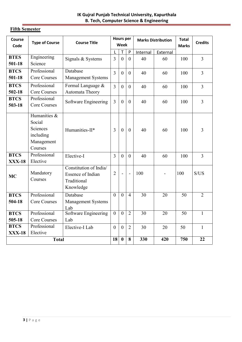# **Fifth Semester**

| Course<br>Code               | <b>Type of Course</b>                                                    | <b>Course Title</b>                                                            |                | <b>Hours per</b><br><b>Week</b> |                |                 | <b>Marks Distribution</b> | <b>Total</b><br><b>Marks</b> | <b>Credits</b> |
|------------------------------|--------------------------------------------------------------------------|--------------------------------------------------------------------------------|----------------|---------------------------------|----------------|-----------------|---------------------------|------------------------------|----------------|
|                              |                                                                          |                                                                                | L              | Τ                               | ${\sf P}$      | Internal        | External                  |                              |                |
| <b>BTES</b><br>501-18        | Engineering<br>Science                                                   | Signals & Systems                                                              | 3              | $\overline{0}$                  | $\overline{0}$ | 40              | 60                        | 100                          | $\overline{3}$ |
| <b>BTCS</b><br>501-18        | Professional<br><b>Core Courses</b>                                      | Database<br><b>Management Systems</b>                                          | $\overline{3}$ | $\overline{0}$                  | $\mathbf{0}$   | 40              | 60                        | 100                          | $\overline{3}$ |
| <b>BTCS</b><br>502-18        | Professional<br><b>Core Courses</b>                                      | Formal Language &<br>Automata Theory                                           | $\overline{3}$ | $\overline{0}$                  | $\overline{0}$ | 40              | 60                        | 100                          | $\overline{3}$ |
| <b>BTCS</b><br>503-18        | Professional<br><b>Core Courses</b>                                      | Software Engineering                                                           | 3              | $\overline{0}$                  | $\overline{0}$ | 40              | 60                        | 100                          | $\overline{3}$ |
|                              | Humanities &<br>Social<br>Sciences<br>including<br>Management<br>Courses | Humanities-II*                                                                 | 3              | $\mathbf{0}$                    | $\mathbf{0}$   | 40              | 60                        | 100                          | 3              |
| <b>BTCS</b><br><b>XXX-18</b> | Professional<br>Elective                                                 | Elective-I                                                                     | 3              | $\overline{0}$                  | $\overline{0}$ | 40              | 60                        | 100                          | $\overline{3}$ |
| <b>MC</b>                    | Mandatory<br>Courses                                                     | Constitution of India/<br><b>Essence of Indian</b><br>Traditional<br>Knowledge | $\overline{2}$ |                                 | $\blacksquare$ | 100             |                           | 100                          | S/US           |
| <b>BTCS</b><br>504-18        | Professional<br><b>Core Courses</b>                                      | Database<br>Management Systems<br>Lab                                          | $\mathbf{0}$   | $\overline{0}$                  | $\overline{4}$ | 30              | 20                        | 50                           | $\overline{2}$ |
| <b>BTCS</b><br>505-18        | Professional<br><b>Core Courses</b>                                      | <b>Software Engineering</b><br>Lab                                             | $\mathbf{0}$   | $\overline{0}$                  | $\overline{2}$ | $\overline{30}$ | 20                        | 50                           | $\mathbf{1}$   |
| <b>BTCS</b><br><b>XXX-18</b> | Professional<br>Elective                                                 | Elective-I Lab                                                                 | $\overline{0}$ | $\overline{0}$                  | $\overline{2}$ | 30              | 20                        | 50                           | $\mathbf{1}$   |
|                              | <b>Total</b>                                                             |                                                                                | 18             | $\bf{0}$                        | 8              | 330             | 420                       | 750                          | 22             |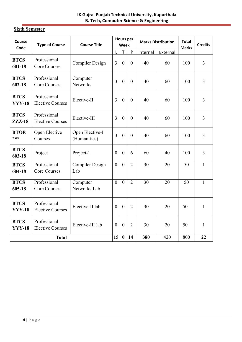# **Sixth Semester**

| Course<br>Code               | <b>Type of Course</b>                   | <b>Course Title</b>             |                  | <b>Hours per</b><br><b>Week</b> |                  | <b>Marks Distribution</b> |                 | <b>Total</b><br><b>Marks</b> | <b>Credits</b> |
|------------------------------|-----------------------------------------|---------------------------------|------------------|---------------------------------|------------------|---------------------------|-----------------|------------------------------|----------------|
|                              |                                         |                                 | L                | T                               | P                | Internal                  | External        |                              |                |
| <b>BTCS</b><br>601-18        | Professional<br><b>Core Courses</b>     | <b>Compiler Design</b>          | $\overline{3}$   | $\mathbf{0}$                    | $\boldsymbol{0}$ | 40                        | 60              | 100                          | 3              |
| <b>BTCS</b><br>602-18        | Professional<br><b>Core Courses</b>     | Computer<br><b>Networks</b>     | $\overline{3}$   | $\boldsymbol{0}$                | $\boldsymbol{0}$ | 40                        | 60              | 100                          | 3              |
| <b>BTCS</b><br><b>YYY-18</b> | Professional<br><b>Elective Courses</b> | Elective-II                     | $\overline{3}$   | $\boldsymbol{0}$                | $\boldsymbol{0}$ | 40                        | 60              | 100                          | 3              |
| <b>BTCS</b><br><b>ZZZ-18</b> | Professional<br><b>Elective Courses</b> | Elective-III                    | $\overline{3}$   | $\overline{0}$                  | $\theta$         | 40                        | 60              | 100                          | $\overline{3}$ |
| <b>BTOE</b><br>***           | Open Elective<br>Courses                | Open Elective-I<br>(Humanities) | 3                | $\overline{0}$                  | $\theta$         | 40                        | 60              | 100                          | 3              |
| <b>BTCS</b><br>603-18        | Project                                 | Project-1                       | $\theta$         | $\boldsymbol{0}$                | 6                | 60                        | 40              | 100                          | 3              |
| <b>BTCS</b><br>604-18        | Professional<br><b>Core Courses</b>     | <b>Compiler Design</b><br>Lab   | $\overline{0}$   | $\mathbf{0}$                    | $\overline{2}$   | $\overline{30}$           | $\overline{20}$ | $\overline{50}$              | $\mathbf{1}$   |
| <b>BTCS</b><br>605-18        | Professional<br><b>Core Courses</b>     | Computer<br>Networks Lab        | $\overline{0}$   | $\boldsymbol{0}$                | $\overline{2}$   | 30                        | 20              | 50                           | $\mathbf{1}$   |
| <b>BTCS</b><br><b>YYY-18</b> | Professional<br><b>Elective Courses</b> | Elective-II lab                 | $\boldsymbol{0}$ | $\boldsymbol{0}$                | $\overline{2}$   | 30                        | 20              | 50                           | $\mathbf{1}$   |
| <b>BTCS</b><br><b>YYY-18</b> | Professional<br><b>Elective Courses</b> | Elective-III lab                | $\overline{0}$   | $\boldsymbol{0}$                | $\overline{2}$   | 30                        | 20              | 50                           | $\mathbf{1}$   |
|                              | <b>Total</b>                            |                                 | 15               | $\boldsymbol{0}$                | 14               | 380                       | 420             | 800                          | 22             |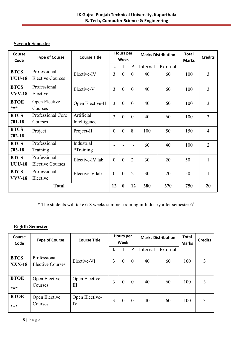#### **Seventh Semester**

| Course<br>Code               | <b>Type of Course</b>                   | <b>Course Title</b>            | <b>Hours per</b><br><b>Week</b> |                  |                | <b>Marks Distribution</b> | <b>Total</b><br><b>Marks</b> | <b>Credits</b> |                |
|------------------------------|-----------------------------------------|--------------------------------|---------------------------------|------------------|----------------|---------------------------|------------------------------|----------------|----------------|
|                              |                                         |                                | L                               | т                | P              | Internal                  | External                     |                |                |
| <b>BTCS</b><br><b>UUU-18</b> | Professional<br><b>Elective Courses</b> | Elective-IV                    | 3                               | $\mathbf{0}$     | $\overline{0}$ | 40                        | 60                           | 100            | 3              |
| <b>BTCS</b><br><b>VVV-18</b> | Professional<br>Elective                | Elective-V                     | 3                               | $\overline{0}$   | $\overline{0}$ | 40                        | 60                           | 100            | 3              |
| <b>BTOE</b><br>***           | Open Elective<br>Courses                | Open Elective-II               | $\overline{3}$                  | $\overline{0}$   | $\overline{0}$ | 40                        | 60                           | 100            | 3              |
| <b>BTCS</b><br>701-18        | Professional Core<br>Courses            | Artificial<br>Intelligence     | $\overline{3}$                  | $\overline{0}$   | $\mathbf{0}$   | 40                        | 60                           | 100            | 3              |
| <b>BTCS</b><br>$702 - 18$    | Project                                 | Project-II                     | $\mathbf{0}$                    | $\overline{0}$   | 8              | 100                       | 50                           | 150            | $\overline{4}$ |
| <b>BTCS</b><br>703-18        | Professional<br>Training                | Industrial<br><i>*Training</i> |                                 |                  |                | 60                        | 40                           | 100            | $\overline{2}$ |
| <b>BTCS</b><br><b>UUU-18</b> | Professional<br><b>Elective Courses</b> | Elective-IV lab                | $\mathbf{0}$                    | $\overline{0}$   | $\overline{2}$ | 30                        | 20                           | 50             | $\mathbf{1}$   |
| <b>BTCS</b><br><b>VVV-18</b> | Professional<br>Elective                | Elective-V lab                 | $\mathbf{0}$                    | $\overline{0}$   | $\overline{2}$ | 30                        | 20                           | 50             | $\mathbf{1}$   |
|                              | <b>Total</b>                            |                                | 12                              | $\boldsymbol{0}$ | 12             | 380                       | 370                          | 750            | 20             |

 $*$  The students will take 6-8 weeks summer training in Industry after semester  $6<sup>th</sup>$ . .

# **Eighth Semester**

| Course<br>Code               | <b>Type of Course</b>                   | <b>Course Title</b>   | <b>Hours per</b><br>Week |                |                  | <b>Marks Distribution</b> | <b>Total</b><br><b>Marks</b> | <b>Credits</b> |   |
|------------------------------|-----------------------------------------|-----------------------|--------------------------|----------------|------------------|---------------------------|------------------------------|----------------|---|
|                              |                                         |                       | L                        |                | P                | Internal                  | External                     |                |   |
| <b>BTCS</b><br><b>XXX-18</b> | Professional<br><b>Elective Courses</b> | Elective-VI           | 3                        | $\mathbf{0}$   | $\overline{0}$   | 40                        | 60                           | 100            | 3 |
| <b>BTOE</b><br>***           | Open Elective<br>Courses                | Open Elective-<br>III | 3                        | $\overline{0}$ | $\boldsymbol{0}$ | 40                        | 60                           | 100            | 3 |
| <b>BTOE</b><br>***           | Open Elective<br>Courses                | Open Elective-<br>IV  | 3                        | $\overline{0}$ | $\theta$         | 40                        | 60                           | 100            | 3 |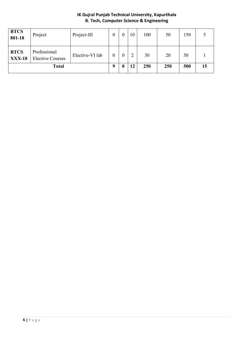| <b>BTCS</b><br>801-18        | Project                                 | Project-III     | $\boldsymbol{0}$ | $\boldsymbol{0}$ | 10     | 100 | 50  | 150 | ب  |
|------------------------------|-----------------------------------------|-----------------|------------------|------------------|--------|-----|-----|-----|----|
| <b>BTCS</b><br><b>XXX-18</b> | Professional<br><b>Elective Courses</b> | Elective-VI lab | $\overline{0}$   | $\overline{0}$   | ◠<br>∠ | 30  | 20  | 50  |    |
| <b>Total</b>                 |                                         |                 | 9                | $\boldsymbol{0}$ | 12     | 250 | 250 | 500 | 15 |